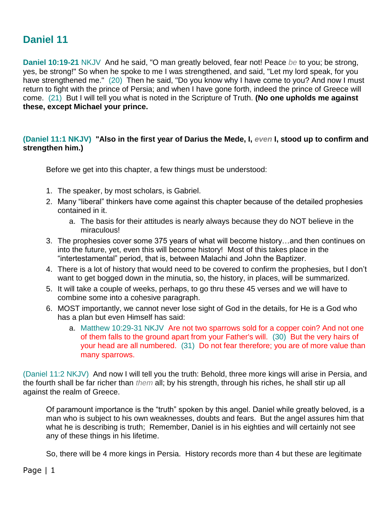## **Daniel 11**

**Daniel 10:19-21** NKJV And he said, "O man greatly beloved, fear not! Peace *be* to you; be strong, yes, be strong!" So when he spoke to me I was strengthened, and said, "Let my lord speak, for you have strengthened me." (20) Then he said, "Do you know why I have come to you? And now I must return to fight with the prince of Persia; and when I have gone forth, indeed the prince of Greece will come. (21) But I will tell you what is noted in the Scripture of Truth. **(No one upholds me against these, except Michael your prince.**

## **(Daniel 11:1 NKJV) "Also in the first year of Darius the Mede, I,** *even* **I, stood up to confirm and strengthen him.)**

Before we get into this chapter, a few things must be understood:

- 1. The speaker, by most scholars, is Gabriel.
- 2. Many "liberal" thinkers have come against this chapter because of the detailed prophesies contained in it.
	- a. The basis for their attitudes is nearly always because they do NOT believe in the miraculous!
- 3. The prophesies cover some 375 years of what will become history…and then continues on into the future, yet, even this will become history! Most of this takes place in the "intertestamental" period, that is, between Malachi and John the Baptizer.
- 4. There is a lot of history that would need to be covered to confirm the prophesies, but I don't want to get bogged down in the minutia, so, the history, in places, will be summarized.
- 5. It will take a couple of weeks, perhaps, to go thru these 45 verses and we will have to combine some into a cohesive paragraph.
- 6. MOST importantly, we cannot never lose sight of God in the details, for He is a God who has a plan but even Himself has said:
	- a. Matthew 10:29-31 NKJV Are not two sparrows sold for a copper coin? And not one of them falls to the ground apart from your Father's will. (30) But the very hairs of your head are all numbered. (31) Do not fear therefore; you are of more value than many sparrows.

(Daniel 11:2 NKJV) And now I will tell you the truth: Behold, three more kings will arise in Persia, and the fourth shall be far richer than *them* all; by his strength, through his riches, he shall stir up all against the realm of Greece.

Of paramount importance is the "truth" spoken by this angel. Daniel while greatly beloved, is a man who is subject to his own weaknesses, doubts and fears. But the angel assures him that what he is describing is truth; Remember, Daniel is in his eighties and will certainly not see any of these things in his lifetime.

So, there will be 4 more kings in Persia. History records more than 4 but these are legitimate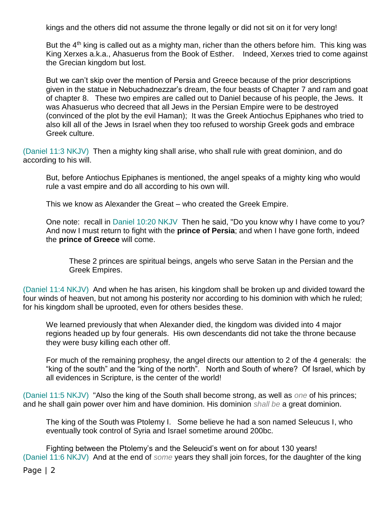kings and the others did not assume the throne legally or did not sit on it for very long!

But the  $4<sup>th</sup>$  king is called out as a mighty man, richer than the others before him. This king was King Xerxes a.k.a., Ahasuerus from the Book of Esther. Indeed, Xerxes tried to come against the Grecian kingdom but lost.

But we can't skip over the mention of Persia and Greece because of the prior descriptions given in the statue in Nebuchadnezzar's dream, the four beasts of Chapter 7 and ram and goat of chapter 8. These two empires are called out to Daniel because of his people, the Jews. It was Ahasuerus who decreed that all Jews in the Persian Empire were to be destroyed (convinced of the plot by the evil Haman); It was the Greek Antiochus Epiphanes who tried to also kill all of the Jews in Israel when they too refused to worship Greek gods and embrace Greek culture.

(Daniel 11:3 NKJV) Then a mighty king shall arise, who shall rule with great dominion, and do according to his will.

But, before Antiochus Epiphanes is mentioned, the angel speaks of a mighty king who would rule a vast empire and do all according to his own will.

This we know as Alexander the Great – who created the Greek Empire.

One note: recall in Daniel 10:20 NKJV Then he said, "Do you know why I have come to you? And now I must return to fight with the **prince of Persia**; and when I have gone forth, indeed the **prince of Greece** will come.

These 2 princes are spiritual beings, angels who serve Satan in the Persian and the Greek Empires.

(Daniel 11:4 NKJV) And when he has arisen, his kingdom shall be broken up and divided toward the four winds of heaven, but not among his posterity nor according to his dominion with which he ruled; for his kingdom shall be uprooted, even for others besides these.

We learned previously that when Alexander died, the kingdom was divided into 4 major regions headed up by four generals. His own descendants did not take the throne because they were busy killing each other off.

For much of the remaining prophesy, the angel directs our attention to 2 of the 4 generals: the "king of the south" and the "king of the north". North and South of where? Of Israel, which by all evidences in Scripture, is the center of the world!

(Daniel 11:5 NKJV) "Also the king of the South shall become strong, as well as *one* of his princes; and he shall gain power over him and have dominion. His dominion *shall be* a great dominion.

The king of the South was Ptolemy I. Some believe he had a son named Seleucus I, who eventually took control of Syria and Israel sometime around 200bc.

Fighting between the Ptolemy's and the Seleucid's went on for about 130 years! (Daniel 11:6 NKJV) And at the end of *some* years they shall join forces, for the daughter of the king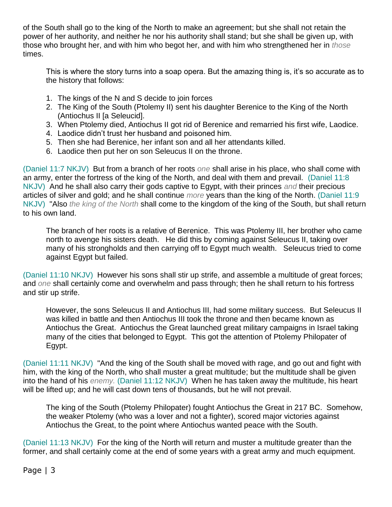of the South shall go to the king of the North to make an agreement; but she shall not retain the power of her authority, and neither he nor his authority shall stand; but she shall be given up, with those who brought her, and with him who begot her, and with him who strengthened her in *those* times.

This is where the story turns into a soap opera. But the amazing thing is, it's so accurate as to the history that follows:

- 1. The kings of the N and S decide to join forces
- 2. The King of the South (Ptolemy II) sent his daughter Berenice to the King of the North (Antiochus II [a Seleucid].
- 3. When Ptolemy died, Antiochus II got rid of Berenice and remarried his first wife, Laodice.
- 4. Laodice didn't trust her husband and poisoned him.
- 5. Then she had Berenice, her infant son and all her attendants killed.
- 6. Laodice then put her on son Seleucus II on the throne.

(Daniel 11:7 NKJV) But from a branch of her roots *one* shall arise in his place, who shall come with an army, enter the fortress of the king of the North, and deal with them and prevail. (Daniel 11:8 NKJV) And he shall also carry their gods captive to Egypt, with their princes *and* their precious articles of silver and gold; and he shall continue *more* years than the king of the North. (Daniel 11:9 NKJV) "Also *the king of the North* shall come to the kingdom of the king of the South, but shall return to his own land.

The branch of her roots is a relative of Berenice. This was Ptolemy III, her brother who came north to avenge his sisters death. He did this by coming against Seleucus II, taking over many of his strongholds and then carrying off to Egypt much wealth. Seleucus tried to come against Egypt but failed.

(Daniel 11:10 NKJV) However his sons shall stir up strife, and assemble a multitude of great forces; and *one* shall certainly come and overwhelm and pass through; then he shall return to his fortress and stir up strife.

However, the sons Seleucus II and Antiochus III, had some military success. But Seleucus II was killed in battle and then Antiochus III took the throne and then became known as Antiochus the Great. Antiochus the Great launched great military campaigns in Israel taking many of the cities that belonged to Egypt. This got the attention of Ptolemy Philopater of Egypt.

(Daniel 11:11 NKJV) "And the king of the South shall be moved with rage, and go out and fight with him, with the king of the North, who shall muster a great multitude; but the multitude shall be given into the hand of his *enemy.* (Daniel 11:12 NKJV) When he has taken away the multitude, his heart will be lifted up; and he will cast down tens of thousands, but he will not prevail.

The king of the South (Ptolemy Philopater) fought Antiochus the Great in 217 BC. Somehow, the weaker Ptolemy (who was a lover and not a fighter), scored major victories against Antiochus the Great, to the point where Antiochus wanted peace with the South.

(Daniel 11:13 NKJV) For the king of the North will return and muster a multitude greater than the former, and shall certainly come at the end of some years with a great army and much equipment.

## Page | 3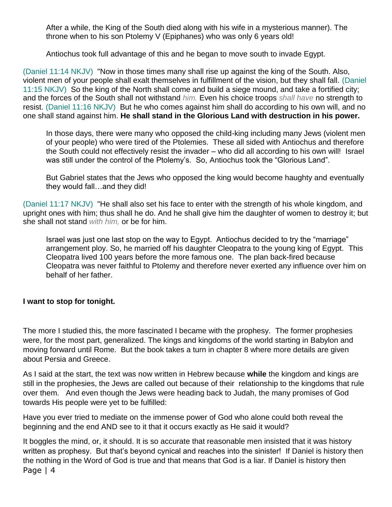After a while, the King of the South died along with his wife in a mysterious manner). The throne when to his son Ptolemy V (Epiphanes) who was only 6 years old!

Antiochus took full advantage of this and he began to move south to invade Egypt.

(Daniel 11:14 NKJV) "Now in those times many shall rise up against the king of the South. Also, violent men of your people shall exalt themselves in fulfillment of the vision, but they shall fall. (Daniel 11:15 NKJV) So the king of the North shall come and build a siege mound, and take a fortified city; and the forces of the South shall not withstand *him.* Even his choice troops *shall have* no strength to resist. (Daniel 11:16 NKJV) But he who comes against him shall do according to his own will, and no one shall stand against him. **He shall stand in the Glorious Land with destruction in his power.**

In those days, there were many who opposed the child-king including many Jews (violent men of your people) who were tired of the Ptolemies. These all sided with Antiochus and therefore the South could not effectively resist the invader – who did all according to his own will! Israel was still under the control of the Ptolemy's. So, Antiochus took the "Glorious Land".

But Gabriel states that the Jews who opposed the king would become haughty and eventually they would fall…and they did!

(Daniel 11:17 NKJV) "He shall also set his face to enter with the strength of his whole kingdom, and upright ones with him; thus shall he do. And he shall give him the daughter of women to destroy it; but she shall not stand *with him,* or be for him.

Israel was just one last stop on the way to Egypt. Antiochus decided to try the "marriage" arrangement ploy. So, he married off his daughter Cleopatra to the young king of Egypt. This Cleopatra lived 100 years before the more famous one. The plan back-fired because Cleopatra was never faithful to Ptolemy and therefore never exerted any influence over him on behalf of her father.

## **I want to stop for tonight.**

The more I studied this, the more fascinated I became with the prophesy. The former prophesies were, for the most part, generalized. The kings and kingdoms of the world starting in Babylon and moving forward until Rome. But the book takes a turn in chapter 8 where more details are given about Persia and Greece.

As I said at the start, the text was now written in Hebrew because **while** the kingdom and kings are still in the prophesies, the Jews are called out because of their relationship to the kingdoms that rule over them. And even though the Jews were heading back to Judah, the many promises of God towards His people were yet to be fulfilled:

Have you ever tried to mediate on the immense power of God who alone could both reveal the beginning and the end AND see to it that it occurs exactly as He said it would?

Page | 4 It boggles the mind, or, it should. It is so accurate that reasonable men insisted that it was history written as prophesy. But that's beyond cynical and reaches into the sinister! If Daniel is history then the nothing in the Word of God is true and that means that God is a liar. If Daniel is history then